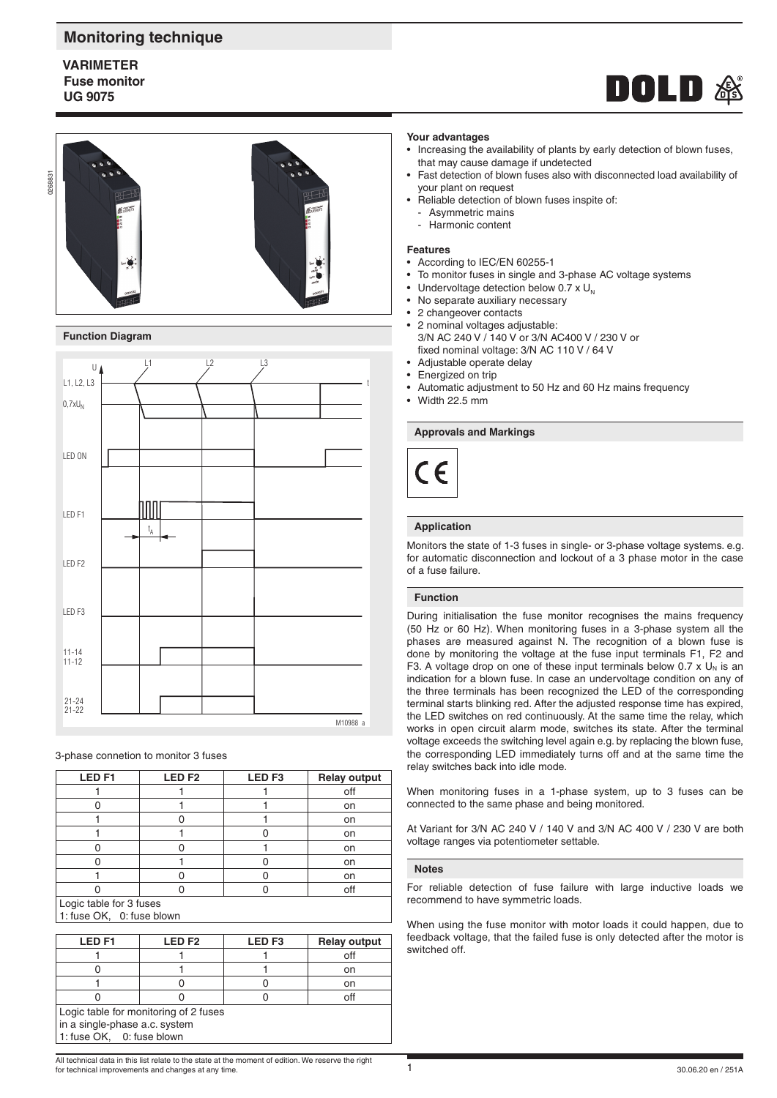# **Monitoring technique**

# **VARIMETER Fuse monitor UG 9075**









#### **Function Diagram**



3-phase connetion to monitor 3 fuses

| LED <sub>F1</sub> | <b>LEDF2</b><br>LED <sub>F3</sub> |  | <b>Relay output</b> |  |
|-------------------|-----------------------------------|--|---------------------|--|
|                   |                                   |  | off                 |  |
|                   |                                   |  | on                  |  |
|                   |                                   |  | on                  |  |
|                   |                                   |  | on                  |  |
|                   |                                   |  | on                  |  |
|                   |                                   |  | on                  |  |
|                   |                                   |  | on                  |  |
|                   |                                   |  | off                 |  |
|                   |                                   |  |                     |  |

Logic table for 3 fuses 1: fuse OK, 0: fuse blown

| <b>LEDF1</b>                                                                                        | LED <sub>F2</sub> | LED <sub>F3</sub> | <b>Relay output</b> |  |  |
|-----------------------------------------------------------------------------------------------------|-------------------|-------------------|---------------------|--|--|
|                                                                                                     |                   |                   | off                 |  |  |
|                                                                                                     |                   |                   | on                  |  |  |
|                                                                                                     |                   |                   | on                  |  |  |
|                                                                                                     |                   |                   | off                 |  |  |
| Logic table for monitoring of 2 fuses<br>in a single-phase a.c. system<br>1: fuse OK, 0: fuse blown |                   |                   |                     |  |  |

#### **Your advantages**

- Increasing the availability of plants by early detection of blown fuses, that may cause damage if undetected
- Fast detection of blown fuses also with disconnected load availability of your plant on request
- Reliable detection of blown fuses inspite of:
- Asymmetric mains
- Harmonic content

#### **Features**

- According to IEC/EN 60255-1
- To monitor fuses in single and 3-phase AC voltage systems
- Undervoltage detection below 0.7 x  $U_N$ <br>• No separate auxiliary necessary
- No separate auxiliary necessary
- 2 changeover contacts
- 2 nominal voltages adjustable: 3/N AC 240 V / 140 V or 3/N AC400 V / 230 V or fixed nominal voltage: 3/N AC 110 V / 64 V
- Adjustable operate delay
- Energized on trip
- Automatic adjustment to 50 Hz and 60 Hz mains frequency
- Width  $22.5 \text{ mm}$

## **Approvals and Markings**



## **Application**

Monitors the state of 1-3 fuses in single- or 3-phase voltage systems. e.g. for automatic disconnection and lockout of a 3 phase motor in the case of a fuse failure.

## **Function**

During initialisation the fuse monitor recognises the mains frequency (50 Hz or 60 Hz). When monitoring fuses in a 3-phase system all the phases are measured against N. The recognition of a blown fuse is done by monitoring the voltage at the fuse input terminals F1, F2 and F3. A voltage drop on one of these input terminals below 0.7 x  $U_N$  is an indication for a blown fuse. In case an undervoltage condition on any of the three terminals has been recognized the LED of the corresponding terminal starts blinking red. After the adjusted response time has expired, the LED switches on red continuously. At the same time the relay, which works in open circuit alarm mode, switches its state. After the terminal voltage exceeds the switching level again e.g. by replacing the blown fuse, the corresponding LED immediately turns off and at the same time the relay switches back into idle mode.

When monitoring fuses in a 1-phase system, up to 3 fuses can be connected to the same phase and being monitored.

At Variant for 3/N AC 240 V / 140 V and 3/N AC 400 V / 230 V are both voltage ranges via potentiometer settable.

### **Notes**

For reliable detection of fuse failure with large inductive loads we recommend to have symmetric loads.

When using the fuse monitor with motor loads it could happen, due to feedback voltage, that the failed fuse is only detected after the motor is switched off.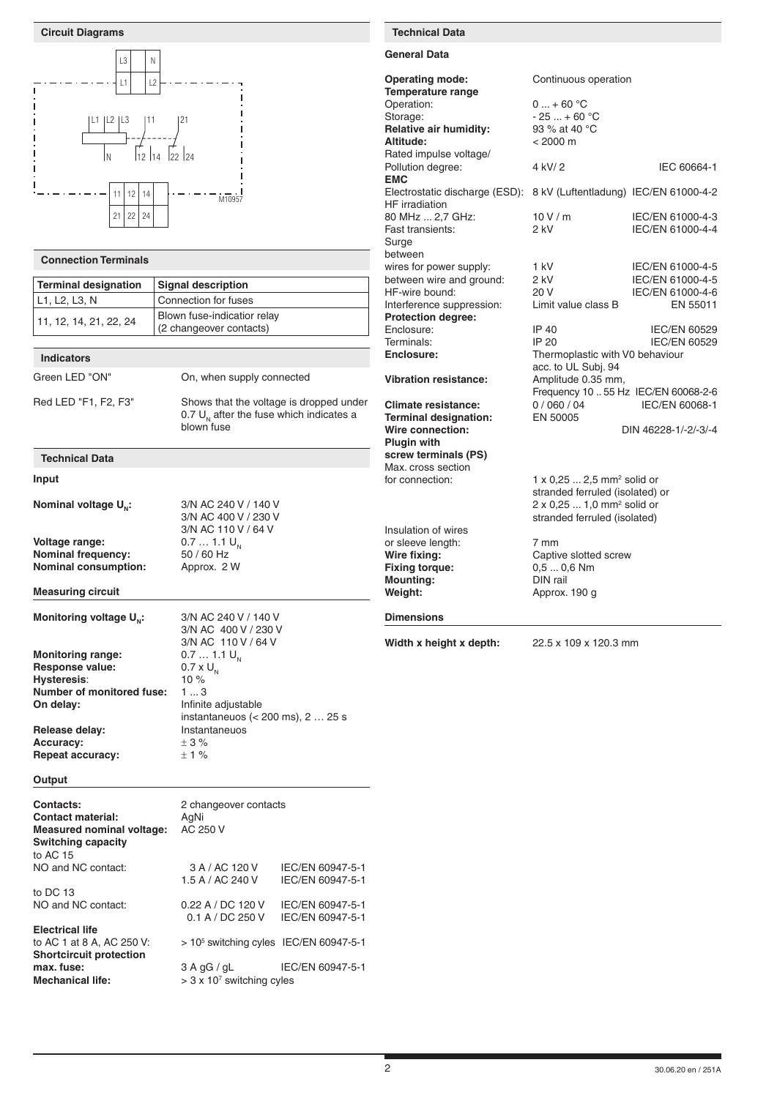| <b>Circuit Diagrams</b>                                                                                                                                               |                                                                                                                                                                             |                                      | <b>Technical Data</b>                                                                                                                                                     |                                                                                                                                                                                                                                        |                                                                                             |
|-----------------------------------------------------------------------------------------------------------------------------------------------------------------------|-----------------------------------------------------------------------------------------------------------------------------------------------------------------------------|--------------------------------------|---------------------------------------------------------------------------------------------------------------------------------------------------------------------------|----------------------------------------------------------------------------------------------------------------------------------------------------------------------------------------------------------------------------------------|---------------------------------------------------------------------------------------------|
| L <sub>3</sub><br>N                                                                                                                                                   |                                                                                                                                                                             |                                      | <b>General Data</b>                                                                                                                                                       |                                                                                                                                                                                                                                        |                                                                                             |
| L2<br>L1<br> L1  L2  L3<br> 11<br>12 14<br>I N                                                                                                                        | 21<br> 22 24                                                                                                                                                                |                                      | <b>Operating mode:</b><br><b>Temperature range</b><br>Operation:<br>Storage:<br><b>Relative air humidity:</b><br>Altitude:<br>Rated impulse voltage/<br>Pollution degree: | Continuous operation<br>$0  + 60 °C$<br>$-25+60 °C$<br>93 % at 40 °C<br>$< 2000 \text{ m}$<br>4 kV/2                                                                                                                                   | IEC 60664-1                                                                                 |
|                                                                                                                                                                       |                                                                                                                                                                             |                                      | <b>EMC</b>                                                                                                                                                                |                                                                                                                                                                                                                                        |                                                                                             |
| 12<br>11.<br>14<br>$21$ 22<br>24                                                                                                                                      | M10957                                                                                                                                                                      |                                      | Electrostatic discharge (ESD): 8 kV (Luftentladung) IEC/EN 61000-4-2<br>HF irradiation<br>80 MHz  2,7 GHz:<br>Fast transients:<br>Surge                                   | 10V/m<br>2 kV                                                                                                                                                                                                                          | IEC/EN 61000-4-3<br>IEC/EN 61000-4-4                                                        |
| <b>Connection Terminals</b>                                                                                                                                           |                                                                                                                                                                             |                                      | between                                                                                                                                                                   |                                                                                                                                                                                                                                        |                                                                                             |
| <b>Terminal designation</b><br>L1, L2, L3, N<br>11, 12, 14, 21, 22, 24                                                                                                | <b>Signal description</b><br>Connection for fuses<br>Blown fuse-indicatior relay<br>(2 changeover contacts)                                                                 |                                      | wires for power supply:<br>between wire and ground:<br>HF-wire bound:<br>Interference suppression:<br><b>Protection degree:</b><br>Enclosure:                             | 1 kV<br>2 kV<br>20 V<br>Limit value class B<br>IP 40                                                                                                                                                                                   | IEC/EN 61000-4-5<br>IEC/EN 61000-4-5<br>IEC/EN 61000-4-6<br>EN 55011<br><b>IEC/EN 60529</b> |
| <b>Indicators</b>                                                                                                                                                     |                                                                                                                                                                             |                                      | Terminals:<br>Enclosure:                                                                                                                                                  | IP 20<br>Thermoplastic with V0 behaviour                                                                                                                                                                                               | <b>IEC/EN 60529</b>                                                                         |
| Green LED "ON"                                                                                                                                                        | On, when supply connected                                                                                                                                                   |                                      | <b>Vibration resistance:</b>                                                                                                                                              | acc. to UL Subj. 94<br>Amplitude 0.35 mm,<br>Frequency 10  55 Hz IEC/EN 60068-2-6                                                                                                                                                      |                                                                                             |
| Red LED "F1, F2, F3"                                                                                                                                                  | Shows that the voltage is dropped under<br>0.7 $U_{N}$ after the fuse which indicates a<br>blown fuse                                                                       |                                      | <b>Climate resistance:</b><br><b>Terminal designation:</b><br>Wire connection:<br><b>Plugin with</b>                                                                      | 0/060/04<br>EN 50005                                                                                                                                                                                                                   | IEC/EN 60068-1<br>DIN 46228-1/-2/-3/-4                                                      |
| <b>Technical Data</b>                                                                                                                                                 |                                                                                                                                                                             |                                      | screw terminals (PS)<br>Max. cross section                                                                                                                                |                                                                                                                                                                                                                                        |                                                                                             |
| Input<br>Nominal voltage U <sub>N</sub> :<br>Voltage range:<br><b>Nominal frequency:</b><br><b>Nominal consumption:</b><br><b>Measuring circuit</b>                   | 3/N AC 240 V / 140 V<br>3/N AC 400 V / 230 V<br>3/N AC 110 V / 64 V<br>$0.71.1 U_{N}$<br>50 / 60 Hz<br>Approx. 2 W                                                          |                                      | for connection:<br>Insulation of wires<br>or sleeve length:<br>Wire fixing:<br><b>Fixing torque:</b><br><b>Mounting:</b><br>Weight:                                       | $1 \times 0.25$ 2,5 mm <sup>2</sup> solid or<br>stranded ferruled (isolated) or<br>2 x 0,25  1,0 mm <sup>2</sup> solid or<br>stranded ferruled (isolated)<br>7 mm<br>Captive slotted screw<br>$0,50,6$ Nm<br>DIN rail<br>Approx. 190 g |                                                                                             |
| Monitoring voltage U <sub>N</sub> :                                                                                                                                   | 3/N AC 240 V / 140 V<br>3/N AC 400 V / 230 V                                                                                                                                |                                      | <b>Dimensions</b>                                                                                                                                                         |                                                                                                                                                                                                                                        |                                                                                             |
| <b>Monitoring range:</b><br>Response value:<br>Hysteresis:<br><b>Number of monitored fuse:</b><br>On delay:<br>Release delay:<br><b>Accuracy:</b><br>Repeat accuracy: | 3/N AC 110 V / 64 V<br>$0.71.1 U_{N}$<br>$0.7 \times U_{N}$<br>10 $%$<br>13<br>Infinite adjustable<br>instantaneuos ( $<$ 200 ms), 2  25 s<br>Instantaneuos<br>± 3%<br>± 1% |                                      | Width x height x depth:                                                                                                                                                   | 22.5 x 109 x 120.3 mm                                                                                                                                                                                                                  |                                                                                             |
| Output                                                                                                                                                                |                                                                                                                                                                             |                                      |                                                                                                                                                                           |                                                                                                                                                                                                                                        |                                                                                             |
| <b>Contacts:</b><br><b>Contact material:</b><br><b>Measured nominal voltage:</b><br><b>Switching capacity</b><br>to AC 15                                             | 2 changeover contacts<br>AgNi<br>AC 250 V                                                                                                                                   |                                      |                                                                                                                                                                           |                                                                                                                                                                                                                                        |                                                                                             |
| NO and NC contact:                                                                                                                                                    | 3 A / AC 120 V<br>1.5 A / AC 240 V                                                                                                                                          | IEC/EN 60947-5-1<br>IEC/EN 60947-5-1 |                                                                                                                                                                           |                                                                                                                                                                                                                                        |                                                                                             |
| to DC 13<br>NO and NC contact:                                                                                                                                        | 0.22 A / DC 120 V<br>0.1 A / DC 250 V                                                                                                                                       | IEC/EN 60947-5-1<br>IEC/EN 60947-5-1 |                                                                                                                                                                           |                                                                                                                                                                                                                                        |                                                                                             |
| <b>Electrical life</b><br>to AC 1 at 8 A, AC 250 V:                                                                                                                   | $> 105$ switching cyles IEC/EN 60947-5-1                                                                                                                                    |                                      |                                                                                                                                                                           |                                                                                                                                                                                                                                        |                                                                                             |

2 30.06.20 en / 251A

**Shortcircuit protection**

**max. fuse:** 3 A gG / gL IEC/EN 60947-5-1

**Mechanical life:**  $> 3 \times 10^7$  switching cyles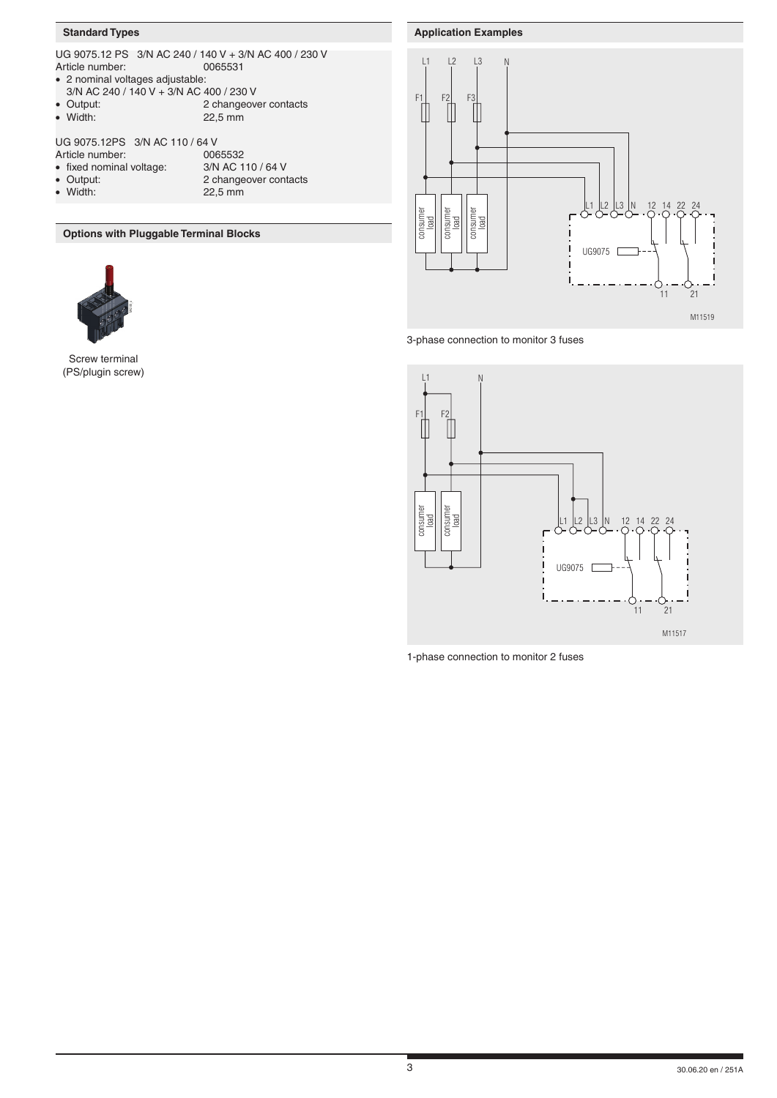# **Standard Types**

|                                                                                                        | UG 9075.12 PS 3/N AC 240 / 140 V + 3/N AC 400 / 230 V            |  |  |  |
|--------------------------------------------------------------------------------------------------------|------------------------------------------------------------------|--|--|--|
| Article number:                                                                                        | 0065531                                                          |  |  |  |
| • 2 nominal voltages adjustable:                                                                       |                                                                  |  |  |  |
| 3/N AC 240 / 140 V + 3/N AC 400 / 230 V                                                                |                                                                  |  |  |  |
| • Output:                                                                                              | 2 changeover contacts                                            |  |  |  |
| • Width:                                                                                               | 22,5 mm                                                          |  |  |  |
| UG 9075.12PS 3/N AC 110 / 64 V<br>Article number:<br>• fixed nominal voltage:<br>• Output:<br>• Width: | 0065532<br>3/N AC 110 / 64 V<br>2 changeover contacts<br>22,5 mm |  |  |  |
|                                                                                                        |                                                                  |  |  |  |

**Options with Pluggable Terminal Blocks**



Screw terminal (PS/plugin screw)







1-phase connection to monitor 2 fuses